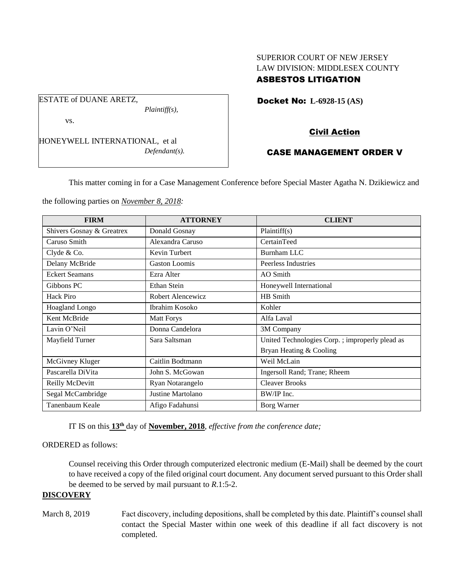## SUPERIOR COURT OF NEW JERSEY LAW DIVISION: MIDDLESEX COUNTY ASBESTOS LITIGATION

Docket No: **L-6928-15 (AS)** 

vs.

ESTATE of DUANE ARETZ,

HONEYWELL INTERNATIONAL, et al *Defendant(s).*

*Plaintiff(s),*

# Civil Action

# CASE MANAGEMENT ORDER V

This matter coming in for a Case Management Conference before Special Master Agatha N. Dzikiewicz and

the following parties on *November 8, 2018:*

| <b>FIRM</b>               | <b>ATTORNEY</b>      | <b>CLIENT</b>                                  |
|---------------------------|----------------------|------------------------------------------------|
| Shivers Gosnay & Greatrex | Donald Gosnay        | Plaintiff(s)                                   |
| Caruso Smith              | Alexandra Caruso     | CertainTeed                                    |
| Clyde & Co.               | Kevin Turbert        | <b>Burnham LLC</b>                             |
| Delany McBride            | <b>Gaston Loomis</b> | Peerless Industries                            |
| <b>Eckert Seamans</b>     | Ezra Alter           | AO Smith                                       |
| Gibbons PC                | Ethan Stein          | Honeywell International                        |
| Hack Piro                 | Robert Alencewicz    | HB Smith                                       |
| <b>Hoagland Longo</b>     | Ibrahim Kosoko       | Kohler                                         |
| Kent McBride              | <b>Matt Forys</b>    | Alfa Laval                                     |
| Lavin O'Neil              | Donna Candelora      | 3M Company                                     |
| Mayfield Turner           | Sara Saltsman        | United Technologies Corp.; improperly plead as |
|                           |                      | Bryan Heating & Cooling                        |
| McGivney Kluger           | Caitlin Bodtmann     | Weil McLain                                    |
| Pascarella DiVita         | John S. McGowan      | Ingersoll Rand; Trane; Rheem                   |
| Reilly McDevitt           | Ryan Notarangelo     | <b>Cleaver Brooks</b>                          |
| Segal McCambridge         | Justine Martolano    | BW/IP Inc.                                     |
| Tanenbaum Keale           | Afigo Fadahunsi      | Borg Warner                                    |

IT IS on this **13th** day of **November, 2018**, *effective from the conference date;*

## ORDERED as follows:

Counsel receiving this Order through computerized electronic medium (E-Mail) shall be deemed by the court to have received a copy of the filed original court document. Any document served pursuant to this Order shall be deemed to be served by mail pursuant to *R*.1:5-2.

## **DISCOVERY**

March 8, 2019 Fact discovery, including depositions, shall be completed by this date. Plaintiff's counsel shall contact the Special Master within one week of this deadline if all fact discovery is not completed.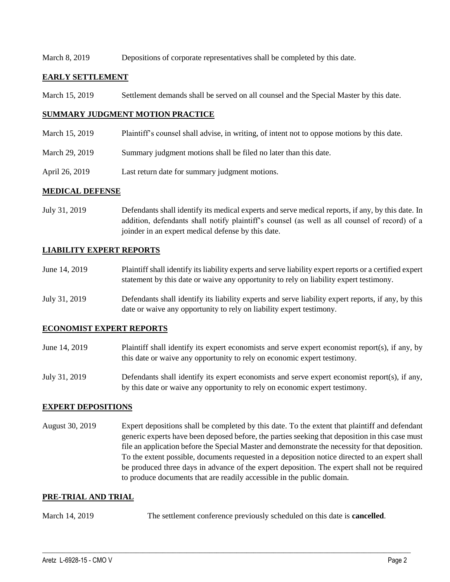### March 8, 2019 Depositions of corporate representatives shall be completed by this date.

### **EARLY SETTLEMENT**

March 15, 2019 Settlement demands shall be served on all counsel and the Special Master by this date.

## **SUMMARY JUDGMENT MOTION PRACTICE**

- March 15, 2019 Plaintiff's counsel shall advise, in writing, of intent not to oppose motions by this date.
- March 29, 2019 Summary judgment motions shall be filed no later than this date.
- April 26, 2019 Last return date for summary judgment motions.

### **MEDICAL DEFENSE**

July 31, 2019 Defendants shall identify its medical experts and serve medical reports, if any, by this date. In addition, defendants shall notify plaintiff's counsel (as well as all counsel of record) of a joinder in an expert medical defense by this date.

## **LIABILITY EXPERT REPORTS**

- June 14, 2019 Plaintiff shall identify its liability experts and serve liability expert reports or a certified expert statement by this date or waive any opportunity to rely on liability expert testimony.
- July 31, 2019 Defendants shall identify its liability experts and serve liability expert reports, if any, by this date or waive any opportunity to rely on liability expert testimony.

### **ECONOMIST EXPERT REPORTS**

- June 14, 2019 Plaintiff shall identify its expert economists and serve expert economist report(s), if any, by this date or waive any opportunity to rely on economic expert testimony.
- July 31, 2019 Defendants shall identify its expert economists and serve expert economist report(s), if any, by this date or waive any opportunity to rely on economic expert testimony.

### **EXPERT DEPOSITIONS**

August 30, 2019 Expert depositions shall be completed by this date. To the extent that plaintiff and defendant generic experts have been deposed before, the parties seeking that deposition in this case must file an application before the Special Master and demonstrate the necessity for that deposition. To the extent possible, documents requested in a deposition notice directed to an expert shall be produced three days in advance of the expert deposition. The expert shall not be required to produce documents that are readily accessible in the public domain.

### **PRE-TRIAL AND TRIAL**

March 14, 2019 The settlement conference previously scheduled on this date is **cancelled**.

 $\_$  ,  $\_$  ,  $\_$  ,  $\_$  ,  $\_$  ,  $\_$  ,  $\_$  ,  $\_$  ,  $\_$  ,  $\_$  ,  $\_$  ,  $\_$  ,  $\_$  ,  $\_$  ,  $\_$  ,  $\_$  ,  $\_$  ,  $\_$  ,  $\_$  ,  $\_$  ,  $\_$  ,  $\_$  ,  $\_$  ,  $\_$  ,  $\_$  ,  $\_$  ,  $\_$  ,  $\_$  ,  $\_$  ,  $\_$  ,  $\_$  ,  $\_$  ,  $\_$  ,  $\_$  ,  $\_$  ,  $\_$  ,  $\_$  ,